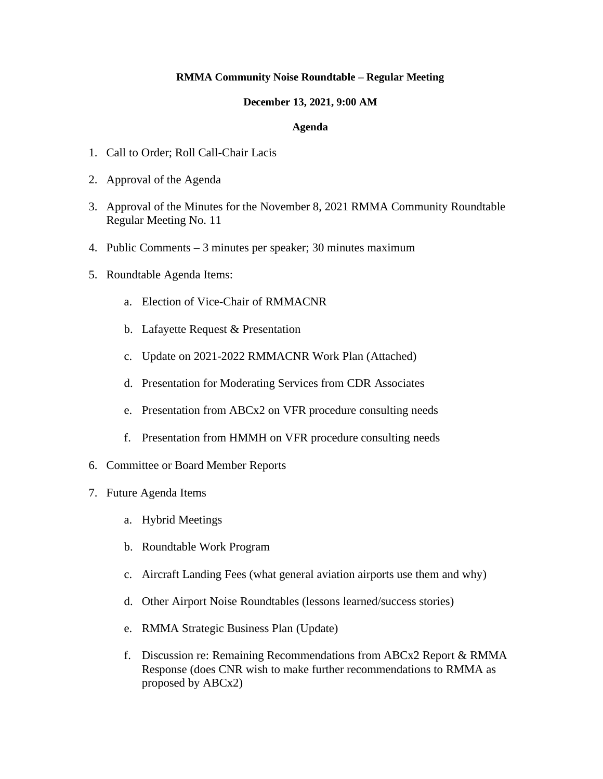#### **RMMA Community Noise Roundtable – Regular Meeting**

#### **December 13, 2021, 9:00 AM**

#### **Agenda**

- 1. Call to Order; Roll Call-Chair Lacis
- 2. Approval of the Agenda
- 3. Approval of the Minutes for the November 8, 2021 RMMA Community Roundtable Regular Meeting No. 11
- 4. Public Comments 3 minutes per speaker; 30 minutes maximum
- 5. Roundtable Agenda Items:
	- a. Election of Vice-Chair of RMMACNR
	- b. Lafayette Request & Presentation
	- c. Update on 2021-2022 RMMACNR Work Plan (Attached)
	- d. Presentation for Moderating Services from CDR Associates
	- e. Presentation from ABCx2 on VFR procedure consulting needs
	- f. Presentation from HMMH on VFR procedure consulting needs
- 6. Committee or Board Member Reports
- 7. Future Agenda Items
	- a. Hybrid Meetings
	- b. Roundtable Work Program
	- c. Aircraft Landing Fees (what general aviation airports use them and why)
	- d. Other Airport Noise Roundtables (lessons learned/success stories)
	- e. RMMA Strategic Business Plan (Update)
	- f. Discussion re: Remaining Recommendations from ABCx2 Report & RMMA Response (does CNR wish to make further recommendations to RMMA as proposed by ABCx2)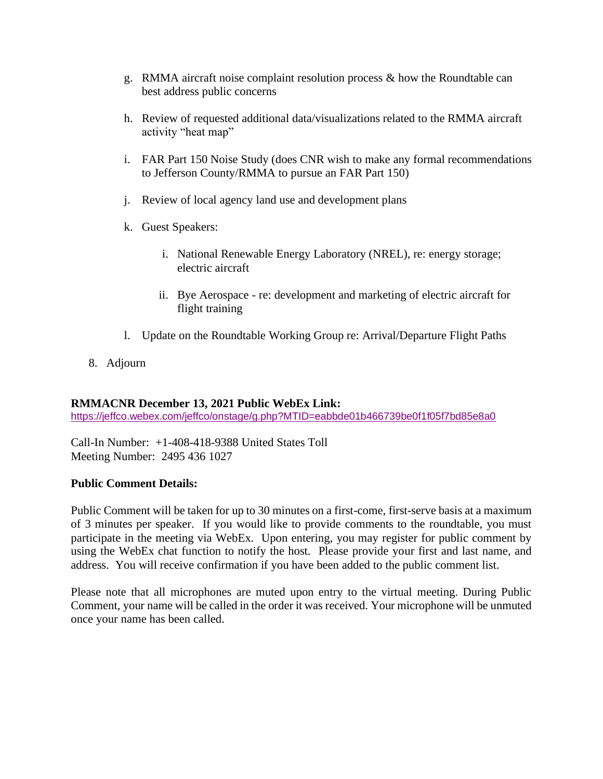- g. RMMA aircraft noise complaint resolution process & how the Roundtable can best address public concerns
- h. Review of requested additional data/visualizations related to the RMMA aircraft activity "heat map"
- i. FAR Part 150 Noise Study (does CNR wish to make any formal recommendations to Jefferson County/RMMA to pursue an FAR Part 150)
- j. Review of local agency land use and development plans
- k. Guest Speakers:
	- i. National Renewable Energy Laboratory (NREL), re: energy storage; electric aircraft
	- ii. Bye Aerospace re: development and marketing of electric aircraft for flight training
- l. Update on the Roundtable Working Group re: Arrival/Departure Flight Paths
- 8. Adjourn

#### **RMMACNR December 13, 2021 Public WebEx Link:**

[https://jeffco.webex.com/jeffco/onstage/g.php?MTID=eabbde01b466739be0f1f05f7bd85e8a0](https://urldefense.com/v3/__https:/jeffco.webex.com/jeffco/onstage/g.php?MTID=eabbde01b466739be0f1f05f7bd85e8a0__;!!AimZMsSgOA4!9WMc1hbdkIeyk0fp_WGwPyNculsMnEf8Klecp6t2MQoPl6bonCUxFRtk3C8pfeo$)

Call-In Number: +1-408-418-9388 United States Toll Meeting Number: 2495 436 1027

#### **Public Comment Details:**

Public Comment will be taken for up to 30 minutes on a first-come, first-serve basis at a maximum of 3 minutes per speaker. If you would like to provide comments to the roundtable, you must participate in the meeting via WebEx. Upon entering, you may register for public comment by using the WebEx chat function to notify the host. Please provide your first and last name, and address. You will receive confirmation if you have been added to the public comment list.

Please note that all microphones are muted upon entry to the virtual meeting. During Public Comment, your name will be called in the order it was received. Your microphone will be unmuted once your name has been called.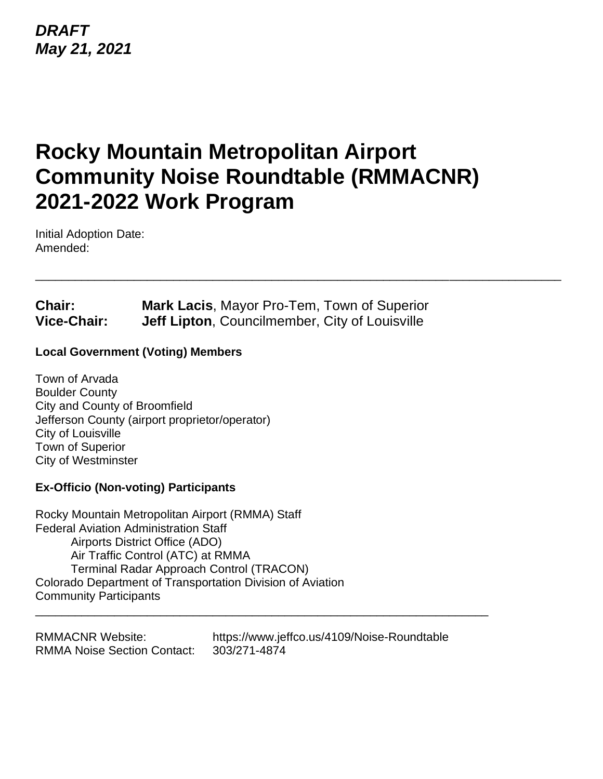## *DRAFT May 21, 2021*

# **Rocky Mountain Metropolitan Airport Community Noise Roundtable (RMMACNR) 2021-2022 Work Program**

\_\_\_\_\_\_\_\_\_\_\_\_\_\_\_\_\_\_\_\_\_\_\_\_\_\_\_\_\_\_\_\_\_\_\_\_\_\_\_\_\_\_\_\_\_\_\_\_\_\_\_\_\_\_\_\_\_\_\_\_\_\_\_\_\_\_\_\_\_\_\_\_\_\_\_\_\_\_\_\_

Initial Adoption Date: Amended:

**Chair: Mark Lacis**, Mayor Pro-Tem, Town of Superior **Vice-Chair: Jeff Lipton**, Councilmember, City of Louisville

#### **Local Government (Voting) Members**

Town of Arvada Boulder County City and County of Broomfield Jefferson County (airport proprietor/operator) City of Louisville Town of Superior City of Westminster

#### **Ex-Officio (Non-voting) Participants**

Rocky Mountain Metropolitan Airport (RMMA) Staff Federal Aviation Administration Staff Airports District Office (ADO) Air Traffic Control (ATC) at RMMA Terminal Radar Approach Control (TRACON) Colorado Department of Transportation Division of Aviation Community Participants

RMMACNR Website: https://www.jeffco.us/4109/Noise-Roundtable RMMA Noise Section Contact: 303/271-4874

\_\_\_\_\_\_\_\_\_\_\_\_\_\_\_\_\_\_\_\_\_\_\_\_\_\_\_\_\_\_\_\_\_\_\_\_\_\_\_\_\_\_\_\_\_\_\_\_\_\_\_\_\_\_\_\_\_\_\_\_\_\_\_\_\_\_\_\_\_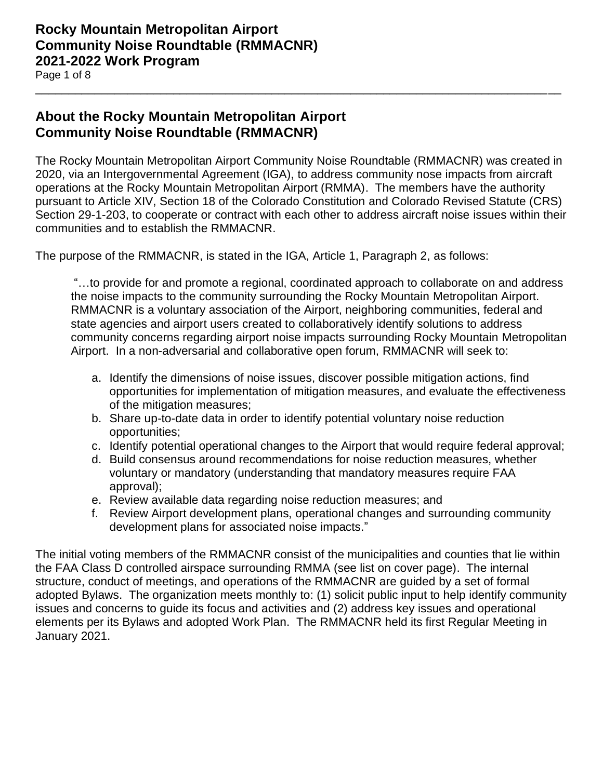Page 1 of 8

## **About the Rocky Mountain Metropolitan Airport Community Noise Roundtable (RMMACNR)**

The Rocky Mountain Metropolitan Airport Community Noise Roundtable (RMMACNR) was created in 2020, via an Intergovernmental Agreement (IGA), to address community nose impacts from aircraft operations at the Rocky Mountain Metropolitan Airport (RMMA). The members have the authority pursuant to Article XIV, Section 18 of the Colorado Constitution and Colorado Revised Statute (CRS) Section 29-1-203, to cooperate or contract with each other to address aircraft noise issues within their communities and to establish the RMMACNR.

\_\_\_\_\_\_\_\_\_\_\_\_\_\_\_\_\_\_\_\_\_\_\_\_\_\_\_\_\_\_\_\_\_\_\_\_\_\_\_\_\_\_\_\_\_\_\_\_\_\_\_\_\_\_\_\_\_\_\_\_\_\_\_\_\_\_\_\_\_\_\_\_\_\_\_\_\_\_\_\_

The purpose of the RMMACNR, is stated in the IGA, Article 1, Paragraph 2, as follows:

"…to provide for and promote a regional, coordinated approach to collaborate on and address the noise impacts to the community surrounding the Rocky Mountain Metropolitan Airport. RMMACNR is a voluntary association of the Airport, neighboring communities, federal and state agencies and airport users created to collaboratively identify solutions to address community concerns regarding airport noise impacts surrounding Rocky Mountain Metropolitan Airport. In a non-adversarial and collaborative open forum, RMMACNR will seek to:

- a. Identify the dimensions of noise issues, discover possible mitigation actions, find opportunities for implementation of mitigation measures, and evaluate the effectiveness of the mitigation measures;
- b. Share up-to-date data in order to identify potential voluntary noise reduction opportunities;
- c. Identify potential operational changes to the Airport that would require federal approval;
- d. Build consensus around recommendations for noise reduction measures, whether voluntary or mandatory (understanding that mandatory measures require FAA approval);
- e. Review available data regarding noise reduction measures; and
- f. Review Airport development plans, operational changes and surrounding community development plans for associated noise impacts."

The initial voting members of the RMMACNR consist of the municipalities and counties that lie within the FAA Class D controlled airspace surrounding RMMA (see list on cover page). The internal structure, conduct of meetings, and operations of the RMMACNR are guided by a set of formal adopted Bylaws. The organization meets monthly to: (1) solicit public input to help identify community issues and concerns to guide its focus and activities and (2) address key issues and operational elements per its Bylaws and adopted Work Plan. The RMMACNR held its first Regular Meeting in January 2021.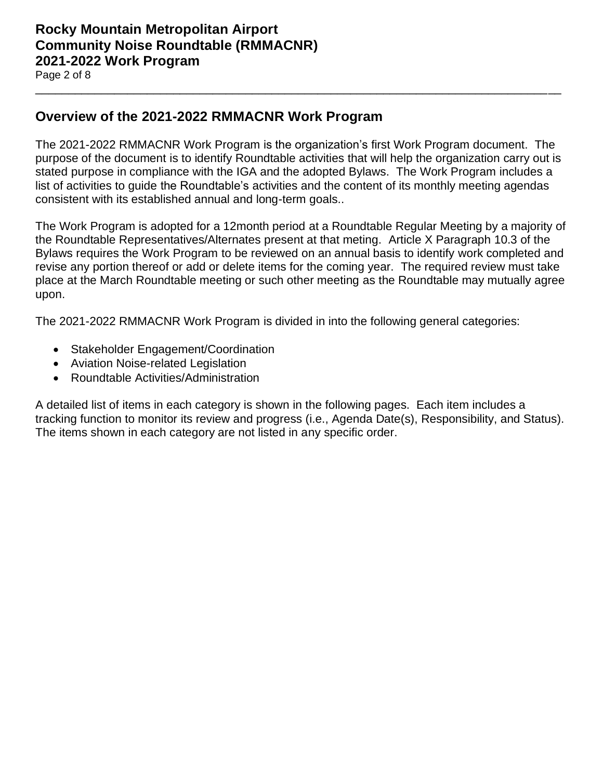Page 2 of 8

## **Overview of the 2021-2022 RMMACNR Work Program**

The 2021-2022 RMMACNR Work Program is the organization's first Work Program document. The purpose of the document is to identify Roundtable activities that will help the organization carry out is stated purpose in compliance with the IGA and the adopted Bylaws. The Work Program includes a list of activities to guide the Roundtable's activities and the content of its monthly meeting agendas consistent with its established annual and long-term goals..

\_\_\_\_\_\_\_\_\_\_\_\_\_\_\_\_\_\_\_\_\_\_\_\_\_\_\_\_\_\_\_\_\_\_\_\_\_\_\_\_\_\_\_\_\_\_\_\_\_\_\_\_\_\_\_\_\_\_\_\_\_\_\_\_\_\_\_\_\_\_\_\_\_\_\_\_\_\_\_\_

The Work Program is adopted for a 12month period at a Roundtable Regular Meeting by a majority of the Roundtable Representatives/Alternates present at that meting. Article X Paragraph 10.3 of the Bylaws requires the Work Program to be reviewed on an annual basis to identify work completed and revise any portion thereof or add or delete items for the coming year. The required review must take place at the March Roundtable meeting or such other meeting as the Roundtable may mutually agree upon.

The 2021-2022 RMMACNR Work Program is divided in into the following general categories:

- Stakeholder Engagement/Coordination
- Aviation Noise-related Legislation
- Roundtable Activities/Administration

A detailed list of items in each category is shown in the following pages. Each item includes a tracking function to monitor its review and progress (i.e., Agenda Date(s), Responsibility, and Status). The items shown in each category are not listed in any specific order.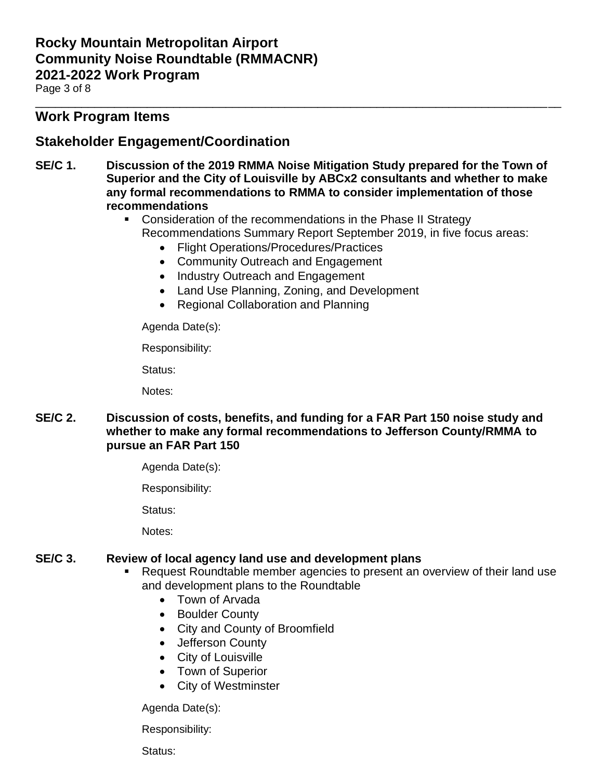Page 3 of 8

## **Work Program Items**

## **Stakeholder Engagement/Coordination**

**SE/C 1. Discussion of the 2019 RMMA Noise Mitigation Study prepared for the Town of Superior and the City of Louisville by ABCx2 consultants and whether to make any formal recommendations to RMMA to consider implementation of those recommendations**

\_\_\_\_\_\_\_\_\_\_\_\_\_\_\_\_\_\_\_\_\_\_\_\_\_\_\_\_\_\_\_\_\_\_\_\_\_\_\_\_\_\_\_\_\_\_\_\_\_\_\_\_\_\_\_\_\_\_\_\_\_\_\_\_\_\_\_\_\_\_\_\_\_\_\_\_\_\_\_\_

- Consideration of the recommendations in the Phase II Strategy Recommendations Summary Report September 2019, in five focus areas:
	- Flight Operations/Procedures/Practices
	- Community Outreach and Engagement
	- Industry Outreach and Engagement
	- Land Use Planning, Zoning, and Development
	- Regional Collaboration and Planning

Agenda Date(s):

Responsibility:

Status:

Notes:

**SE/C 2. Discussion of costs, benefits, and funding for a FAR Part 150 noise study and whether to make any formal recommendations to Jefferson County/RMMA to pursue an FAR Part 150**

Agenda Date(s):

Responsibility:

Status:

Notes:

#### **SE/C 3. Review of local agency land use and development plans**

- Request Roundtable member agencies to present an overview of their land use and development plans to the Roundtable
	- Town of Arvada
	- Boulder County
	- City and County of Broomfield
	- Jefferson County
	- City of Louisville
	- Town of Superior
	- City of Westminster

Agenda Date(s):

Responsibility:

Status: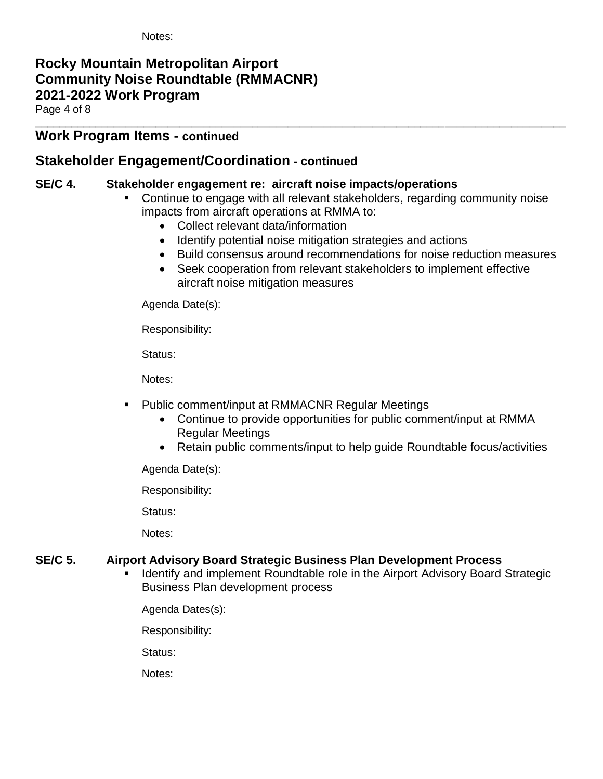Notes:

## **Rocky Mountain Metropolitan Airport Community Noise Roundtable (RMMACNR) 2021-2022 Work Program** Page 4 of 8

\_\_\_\_\_\_\_\_\_\_\_\_\_\_\_\_\_\_\_\_\_\_\_\_\_\_\_\_\_\_\_\_\_\_\_\_\_\_\_\_\_\_\_\_\_\_\_\_\_\_\_\_\_\_\_\_\_\_\_\_\_\_\_\_\_\_\_\_\_\_\_\_\_\_\_\_\_\_\_\_\_\_\_\_\_\_\_\_

## **Work Program Items - continued**

## **Stakeholder Engagement/Coordination - continued**

#### **SE/C 4. Stakeholder engagement re: aircraft noise impacts/operations**

- Continue to engage with all relevant stakeholders, regarding community noise impacts from aircraft operations at RMMA to:
	- Collect relevant data/information
	- Identify potential noise mitigation strategies and actions
	- Build consensus around recommendations for noise reduction measures
	- Seek cooperation from relevant stakeholders to implement effective aircraft noise mitigation measures

Agenda Date(s):

Responsibility:

Status:

Notes:

- Public comment/input at RMMACNR Regular Meetings
	- Continue to provide opportunities for public comment/input at RMMA Regular Meetings
	- Retain public comments/input to help guide Roundtable focus/activities

Agenda Date(s):

Responsibility:

Status:

Notes:

## **SE/C 5. Airport Advisory Board Strategic Business Plan Development Process**

**■** Identify and implement Roundtable role in the Airport Advisory Board Strategic Business Plan development process

Agenda Dates(s):

Responsibility:

Status:

Notes: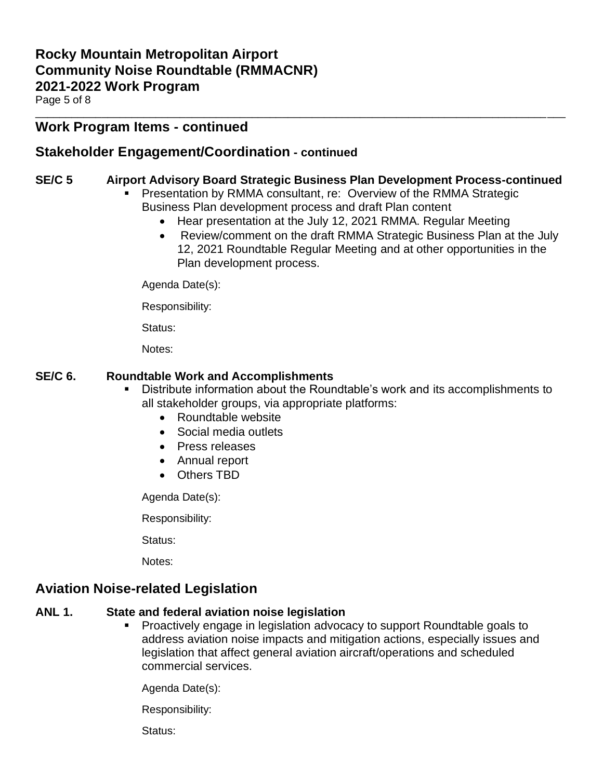## **Rocky Mountain Metropolitan Airport Community Noise Roundtable (RMMACNR) 2021-2022 Work Program**

Page 5 of 8

## **Work Program Items - continued**

## **Stakeholder Engagement/Coordination - continued**

#### **SE/C 5 Airport Advisory Board Strategic Business Plan Development Process-continued**

\_\_\_\_\_\_\_\_\_\_\_\_\_\_\_\_\_\_\_\_\_\_\_\_\_\_\_\_\_\_\_\_\_\_\_\_\_\_\_\_\_\_\_\_\_\_\_\_\_\_\_\_\_\_\_\_\_\_\_\_\_\_\_\_\_\_\_\_\_\_\_\_\_\_\_\_\_\_\_\_\_\_\_\_\_\_\_\_

- Presentation by RMMA consultant, re: Overview of the RMMA Strategic Business Plan development process and draft Plan content
	- Hear presentation at the July 12, 2021 RMMA. Regular Meeting
	- Review/comment on the draft RMMA Strategic Business Plan at the July 12, 2021 Roundtable Regular Meeting and at other opportunities in the Plan development process.

Agenda Date(s):

Responsibility:

Status:

Notes:

#### **SE/C 6. Roundtable Work and Accomplishments**

- Distribute information about the Roundtable's work and its accomplishments to all stakeholder groups, via appropriate platforms:
	- Roundtable website
	- Social media outlets
	- Press releases
	- Annual report
	- Others TBD

Agenda Date(s):

Responsibility:

Status:

Notes:

## **Aviation Noise-related Legislation**

## **ANL 1. State and federal aviation noise legislation**

■ Proactively engage in legislation advocacy to support Roundtable goals to address aviation noise impacts and mitigation actions, especially issues and legislation that affect general aviation aircraft/operations and scheduled commercial services.

Agenda Date(s):

Responsibility:

Status: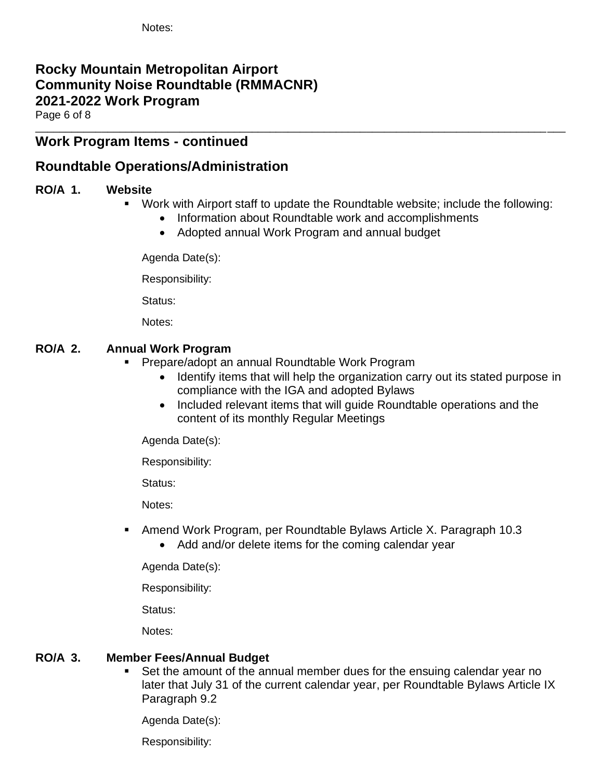Notes:

## **Rocky Mountain Metropolitan Airport Community Noise Roundtable (RMMACNR) 2021-2022 Work Program**

Page 6 of 8 \_\_\_\_\_\_\_\_\_\_\_\_\_\_\_\_\_\_\_\_\_\_\_\_\_\_\_\_\_\_\_\_\_\_\_\_\_\_\_\_\_\_\_\_\_\_\_\_\_\_\_\_\_\_\_\_\_\_\_\_\_\_\_\_\_\_\_\_\_\_\_\_\_\_\_\_\_\_\_\_\_\_\_\_\_\_\_\_

## **Work Program Items - continued**

## **Roundtable Operations/Administration**

#### **RO/A 1. Website**

- Work with Airport staff to update the Roundtable website; include the following:
	- Information about Roundtable work and accomplishments
	- Adopted annual Work Program and annual budget

Agenda Date(s):

Responsibility:

Status:

Notes:

#### **RO/A 2. Annual Work Program**

- Prepare/adopt an annual Roundtable Work Program
	- Identify items that will help the organization carry out its stated purpose in compliance with the IGA and adopted Bylaws
	- Included relevant items that will guide Roundtable operations and the content of its monthly Regular Meetings

Agenda Date(s):

Responsibility:

Status:

Notes:

- Amend Work Program, per Roundtable Bylaws Article X. Paragraph 10.3
	- Add and/or delete items for the coming calendar year

Agenda Date(s):

Responsibility:

Status:

Notes:

#### **RO/A 3. Member Fees/Annual Budget**

■ Set the amount of the annual member dues for the ensuing calendar year no later that July 31 of the current calendar year, per Roundtable Bylaws Article IX Paragraph 9.2

Agenda Date(s):

Responsibility: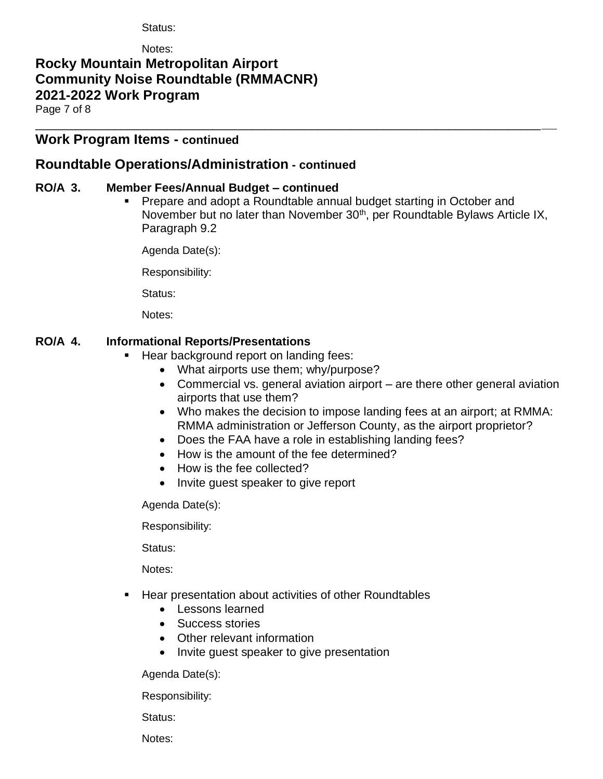#### Status:

Notes:

## **Rocky Mountain Metropolitan Airport Community Noise Roundtable (RMMACNR) 2021-2022 Work Program** Page 7 of 8

## **Work Program Items - continued**

## **Roundtable Operations/Administration - continued**

## **RO/A 3. Member Fees/Annual Budget – continued**

■ Prepare and adopt a Roundtable annual budget starting in October and November but no later than November 30<sup>th</sup>, per Roundtable Bylaws Article IX, Paragraph 9.2

\_\_\_\_\_\_\_\_\_\_\_\_\_\_\_\_\_\_\_\_\_\_\_\_\_\_\_\_\_\_\_\_\_\_\_\_\_\_\_\_\_\_\_\_\_\_\_\_\_\_\_\_\_\_\_\_\_\_\_\_\_\_\_\_\_\_\_\_\_\_\_\_\_\_\_\_\_**\_\_**

Agenda Date(s):

Responsibility:

Status:

Notes:

#### **RO/A 4. Informational Reports/Presentations**

- Hear background report on landing fees:
	- What airports use them; why/purpose?
	- Commercial vs. general aviation airport are there other general aviation airports that use them?
	- Who makes the decision to impose landing fees at an airport; at RMMA: RMMA administration or Jefferson County, as the airport proprietor?
	- Does the FAA have a role in establishing landing fees?
	- How is the amount of the fee determined?
	- How is the fee collected?
	- Invite guest speaker to give report

Agenda Date(s):

Responsibility:

Status:

Notes:

- Hear presentation about activities of other Roundtables
	- Lessons learned
	- Success stories
	- Other relevant information
	- Invite guest speaker to give presentation

Agenda Date(s):

Responsibility:

Status:

Notes: